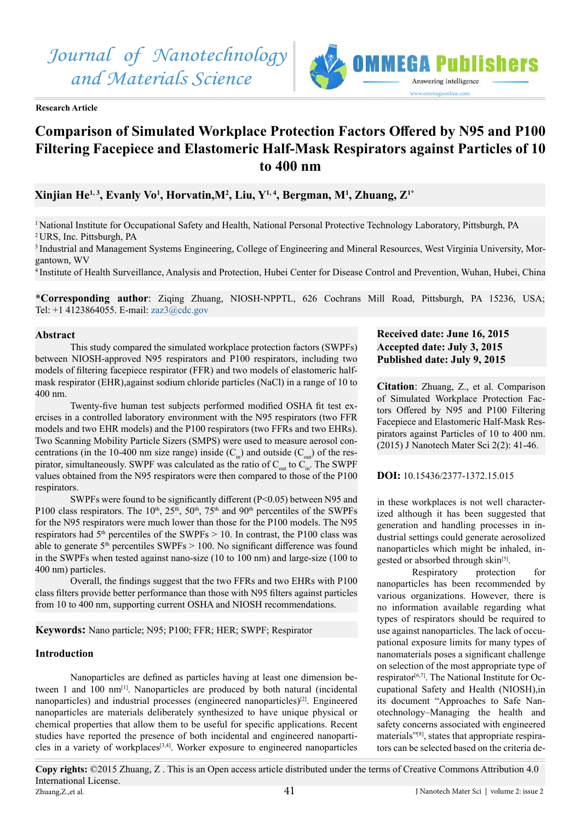

# Answering Intelligence www.ommegaonline.com

# **Comparison of Simulated Workplace Protection Factors Offered by N95 and P100 Filtering Facepiece and Elastomeric Half-Mask Respirators against Particles of 10 to 400 nm**

# **Xinjian He1, 3, Evanly Vo1 , Horvatin,M2 , Liu, Y1, 4, Bergman, M1 , Zhuang, Z1\***

<sup>1</sup>National Institute for Occupational Safety and Health, National Personal Protective Technology Laboratory, Pittsburgh, PA <sup>2</sup>URS, Inc. Pittsburgh, PA

3 Industrial and Management Systems Engineering, College of Engineering and Mineral Resources, West Virginia University, Morgantown, WV

<sup>4</sup>Institute of Health Surveillance, Analysis and Protection, Hubei Center for Disease Control and Prevention, Wuhan, Hubei, China

**\*Corresponding author**: Ziqing Zhuang, NIOSH-NPPTL, 626 Cochrans Mill Road, Pittsburgh, PA 15236, USA; Tel: +1 4123864055. E-mail: zaz3@cdc.gov

# **Abstract**

This study compared the simulated workplace protection factors (SWPFs) between NIOSH-approved N95 respirators and P100 respirators, including two models of filtering facepiece respirator (FFR) and two models of elastomeric halfmask respirator (EHR),against sodium chloride particles (NaCl) in a range of 10 to 400 nm.

Twenty-five human test subjects performed modified OSHA fit test exercises in a controlled laboratory environment with the N95 respirators (two FFR models and two EHR models) and the P100 respirators (two FFRs and two EHRs). Two Scanning Mobility Particle Sizers (SMPS) were used to measure aerosol concentrations (in the 10-400 nm size range) inside  $(C_{in})$  and outside  $(C_{out})$  of the respirator, simultaneously. SWPF was calculated as the ratio of  $C_{out}$  to  $C_{in}$ . The SWPF values obtained from the N95 respirators were then compared to those of the P100 respirators.

SWPFs were found to be significantly different (P<0.05) between N95 and P100 class respirators. The 10<sup>th</sup>,  $25<sup>th</sup>$ ,  $50<sup>th</sup>$ ,  $75<sup>th</sup>$  and 90<sup>th</sup> percentiles of the SWPFs for the N95 respirators were much lower than those for the P100 models. The N95 respirators had  $5<sup>th</sup>$  percentiles of the SWPFs  $> 10$ . In contrast, the P100 class was able to generate  $5<sup>th</sup>$  percentiles SWPFs  $> 100$ . No significant difference was found in the SWPFs when tested against nano-size (10 to 100 nm) and large-size (100 to 400 nm) particles.

Overall, the findings suggest that the two FFRs and two EHRs with P100 class filters provide better performance than those with N95 filters against particles from 10 to 400 nm, supporting current OSHA and NIOSH recommendations.

# **Keywords:** Nano particle; N95; P100; FFR; HER; SWPF; Respirator

# **Introduction**

Nanoparticles are defined as particles having at least one dimension between 1 and 100 nm<sup>[1]</sup>. Nanoparticles are produced by both natural (incidental nanoparticles) and industrial processes (engineered nanoparticles)<sup>[\[2\]](#page-0-0)</sup>. Engineered nanoparticles are materials deliberately synthesized to have unique physical or chemical properties that allow them to be useful for specific applications. Recent studies have reported the presence of both incidental and engineered nanoparti-cles in a variety of workplaces<sup>[\[3,4\]](#page-5-1)</sup>. Worker exposure to engineered nanoparticles

# **Received date: June 16, 2015 Accepted date: July 3, 2015 Published date: July 9, 2015**

**Citation**: Zhuang, Z., et al. Comparison of Simulated Workplace Protection Factors Offered by N95 and P100 Filtering Facepiece and Elastomeric Half-Mask Respirators against Particles of 10 to 400 nm. (2015) J Nanotech Mater Sci 2(2): 41-46.

# <span id="page-0-0"></span>**DOI:** 10.15436/2377-1372.15.015

in these workplaces is not well characterized although it has been suggested that generation and handling processes in industrial settings could generate aerosolized nanoparticles which might be inhaled, ingested or absorbed through skin<sup>[5]</sup>.

Respiratory protection for nanoparticles has been recommended by various organizations. However, there is no information available regarding what types of respirators should be required to use against nanoparticles. The lack of occupational exposure limits for many types of nanomaterials poses a significant challenge on selection of the most appropriate type of respirator<sup>[6,7]</sup>. The National Institute for Occupational Safety and Health (NIOSH),in its document "Approaches to Safe Nanotechnology–Managing the health and safety concerns associated with engineered materials"[\[8\]](#page-5-4), states that appropriate respirators can be selected based on the criteria de-

J Nanotech Mater Sci | volume 2: issue 2 **Copy rights:** ©2015 Zhuang, Z . This is an Open access article distributed under the terms of Creative Commons Attribution 4.0 International License. Zhuang,Z.,et al.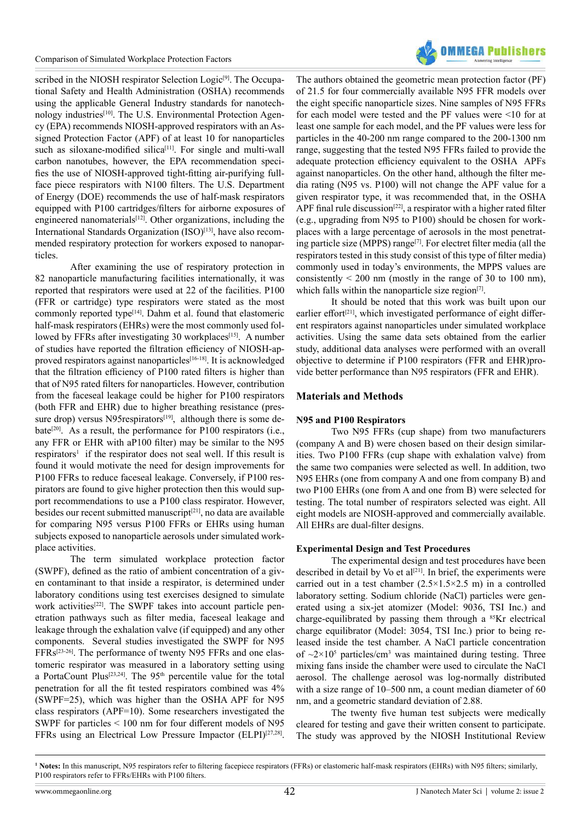

scribed in the NIOSH respirator Selection Logic<sup>[9]</sup>. The Occupational Safety and Health Administration (OSHA) recommends using the applicable General Industry standards for nanotech-nology industries<sup>[\[10\]](#page-5-6)</sup>. The U.S. Environmental Protection Agency (EPA) recommends NIOSH-approved respirators with an Assigned Protection Factor (APF) of at least 10 for nanoparticles such as siloxane-modified silica<sup>[\[11\]](#page-5-7)</sup>. For single and multi-wall carbon nanotubes, however, the EPA recommendation specifies the use of NIOSH-approved tight-fitting air-purifying fullface piece respirators with N100 filters. The U.S. Department of Energy (DOE) recommends the use of half-mask respirators equipped with P100 cartridges/filters for airborne exposures of engineered nanomaterials<sup>[12]</sup>. Other organizations, including the International Standards Organization (ISO)<sup>[\[13\]](#page-5-9)</sup>, have also recommended respiratory protection for workers exposed to nanoparticles.

After examining the use of respiratory protection in 82 nanoparticle manufacturing facilities internationally, it was reported that respirators were used at 22 of the facilities. P100 (FFR or cartridge) type respirators were stated as the most commonly reported typ[e\[14\]](#page-5-10). Dahm et al. found that elastomeric half-mask respirators (EHRs) were the most commonly used fol-lowed by FFRs after investigating 30 workplaces<sup>[\[15\]](#page-5-11)</sup>. A number of studies have reported the filtration efficiency of NIOSH-approved respirators against nanoparticles[\[16-18\]](#page-5-12). It is acknowledged that the filtration efficiency of P100 rated filters is higher than that of N95 rated filters for nanoparticles. However, contribution from the faceseal leakage could be higher for P100 respirators (both FFR and EHR) due to higher breathing resistance (pressure drop) versus N95 $respirators^{[19]}$  $respirators^{[19]}$  $respirators^{[19]}$ , although there is some de-bate<sup>[\[20\]](#page-5-14)</sup>. As a result, the performance for P100 respirators (i.e., any FFR or EHR with aP100 filter) may be similar to the N95  $respirators<sup>1</sup>$  if the respirator does not seal well. If this result is found it would motivate the need for design improvements for P100 FFRs to reduce faceseal leakage. Conversely, if P100 respirators are found to give higher protection then this would support recommendations to use a P100 class respirator. However, besides our recent submitted manuscript<sup>[\[21\]](#page-5-15)</sup>, no data are available for comparing N95 versus P100 FFRs or EHRs using human subjects exposed to nanoparticle aerosols under simulated workplace activities.

The term simulated workplace protection factor (SWPF), defined as the ratio of ambient concentration of a given contaminant to that inside a respirator, is determined under laboratory conditions using test exercises designed to simulate work activities<sup>[22]</sup>. The SWPF takes into account particle penetration pathways such as filter media, faceseal leakage and leakage through the exhalation valve (if equipped) and any other components. Several studies investigated the SWPF for N95 FFRs[\[23-26\]](#page-5-17). The performance of twenty N95 FFRs and one elastomeric respirator was measured in a laboratory setting using a PortaCount Plus<sup>[23,24]</sup>. The 95<sup>th</sup> percentile value for the total penetration for all the fit tested respirators combined was 4% (SWPF=25), which was higher than the OSHA APF for N95 class respirators (APF=10). Some researchers investigated the SWPF for particles < 100 nm for four different models of N95 FFRs using an Electrical Low Pressure Impactor (ELPI)<sup>[27,28]</sup>.

The authors obtained the geometric mean protection factor (PF) of 21.5 for four commercially available N95 FFR models over the eight specific nanoparticle sizes. Nine samples of N95 FFRs for each model were tested and the PF values were <10 for at least one sample for each model, and the PF values were less for particles in the 40-200 nm range compared to the 200-1300 nm range, suggesting that the tested N95 FFRs failed to provide the adequate protection efficiency equivalent to the OSHA APFs against nanoparticles. On the other hand, although the filter media rating (N95 vs. P100) will not change the APF value for a given respirator type, it was recommended that, in the OSHA APF final rule discussion<sup>[\[22\]](#page-5-16)</sup>, a respirator with a higher rated filter (e.g., upgrading from N95 to P100) should be chosen for workplaces with a large percentage of aerosols in the most penetrating particle size (MPPS) range[\[7\]](#page-5-19). For electret filter media (all the respirators tested in this study consist of this type of filter media) commonly used in today's environments, the MPPS values are consistently  $\leq 200$  nm (mostly in the range of 30 to 100 nm), which falls within the nanoparticle size region $[7]$ .

It should be noted that this work was built upon our earlier effort $[21]$ , which investigated performance of eight different respirators against nanoparticles under simulated workplace activities. Using the same data sets obtained from the earlier study, additional data analyses were performed with an overall objective to determine if P100 respirators (FFR and EHR)provide better performance than N95 respirators (FFR and EHR).

# **Materials and Methods**

# **N95 and P100 Respirators**

Two N95 FFRs (cup shape) from two manufacturers (company A and B) were chosen based on their design similarities. Two P100 FFRs (cup shape with exhalation valve) from the same two companies were selected as well. In addition, two N95 EHRs (one from company A and one from company B) and two P100 EHRs (one from A and one from B) were selected for testing. The total number of respirators selected was eight. All eight models are NIOSH-approved and commercially available. All EHRs are dual-filter designs.

# **Experimental Design and Test Procedures**

The experimental design and test procedures have been described in detail by Vo et al<sup>[\[21\]](#page-5-15)</sup>. In brief, the experiments were carried out in a test chamber  $(2.5 \times 1.5 \times 2.5 \text{ m})$  in a controlled laboratory setting. Sodium chloride (NaCl) particles were generated using a six-jet atomizer (Model: 9036, TSI Inc.) and charge-equilibrated by passing them through a <sup>85</sup>Kr electrical charge equilibrator (Model: 3054, TSI Inc.) prior to being released inside the test chamber. A NaCl particle concentration of  $\sim$ 2×10<sup>5</sup> particles/cm<sup>3</sup> was maintained during testing. Three mixing fans inside the chamber were used to circulate the NaCl aerosol. The challenge aerosol was log-normally distributed with a size range of 10–500 nm, a count median diameter of 60 nm, and a geometric standard deviation of 2.88.

The twenty five human test subjects were medically cleared for testing and gave their written consent to participate. The study was approved by the NIOSH Institutional Review

**<sup>1</sup> Notes:** In this manuscript, N95 respirators refer to filtering facepiece respirators (FFRs) or elastomeric half-mask respirators (EHRs) with N95 filters; similarly, P100 respirators refer to FFRs/EHRs with P100 filters.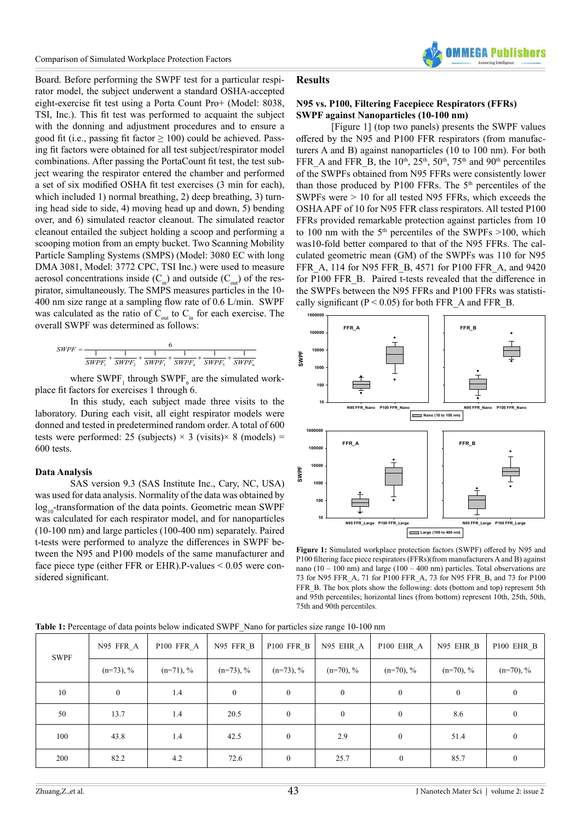Board. Before performing the SWPF test for a particular respirator model, the subject underwent a standard OSHA-accepted eight-exercise fit test using a Porta Count Pro+ (Model: 8038, TSI, Inc.). This fit test was performed to acquaint the subject with the donning and adjustment procedures and to ensure a good fit (i.e., passing fit factor  $\geq 100$ ) could be achieved. Passing fit factors were obtained for all test subject/respirator model combinations. After passing the PortaCount fit test, the test subject wearing the respirator entered the chamber and performed a set of six modified OSHA fit test exercises (3 min for each), which included 1) normal breathing, 2) deep breathing, 3) turning head side to side, 4) moving head up and down, 5) bending over, and 6) simulated reactor cleanout. The simulated reactor cleanout entailed the subject holding a scoop and performing a scooping motion from an empty bucket. Two Scanning Mobility Particle Sampling Systems (SMPS) (Model: 3080 EC with long DMA 3081, Model: 3772 CPC, TSI Inc.) were used to measure aerosol concentrations inside  $(C_{in})$  and outside  $(C_{out})$  of the respirator, simultaneously. The SMPS measures particles in the 10- 400 nm size range at a sampling flow rate of 0.6 L/min. SWPF was calculated as the ratio of  $C_{\text{out}}$  to  $C_{\text{in}}$  for each exercise. The overall SWPF was determined as follows:

$$
SWPF = \frac{6}{\frac{1}{SWPF_1} + \frac{1}{SWPF_2} + \frac{1}{SWPF_3} + \frac{1}{SWPF_4} + \frac{1}{SWPF_5} + \frac{1}{SWPF_6}}
$$

where  $\text{SWPF}_1$  through  $\text{SWPF}_6$  are the simulated workplace fit factors for exercises 1 through 6.

In this study, each subject made three visits to the laboratory. During each visit, all eight respirator models were donned and tested in predetermined random order. A total of 600 tests were performed: 25 (subjects)  $\times$  3 (visits) $\times$  8 (models) = 600 tests.

# **Data Analysis**

SAS version 9.3 (SAS Institute Inc., Cary, NC, USA) was used for data analysis. Normality of the data was obtained by  $log<sub>10</sub>$ -transformation of the data points. Geometric mean SWPF was calculated for each respirator model, and for nanoparticles (10-100 nm) and large particles (100-400 nm) separately. Paired t-tests were performed to analyze the differences in SWPF between the N95 and P100 models of the same manufacturer and face piece type (either FFR or EHR).P-values < 0.05 were considered significant.

# **Results**

# **N95 vs. P100, Filtering Facepiece Respirators (FFRs) SWPF against Nanoparticles (10-100 nm)**

[Figure 1] (top two panels) presents the SWPF values offered by the N95 and P100 FFR respirators (from manufacturers A and B) against nanoparticles (10 to 100 nm). For both FFR A and FFR B, the  $10^{th}$ ,  $25^{th}$ ,  $50^{th}$ ,  $75^{th}$  and  $90^{th}$  percentiles of the SWPFs obtained from N95 FFRs were consistently lower than those produced by P100 FFRs. The  $5<sup>th</sup>$  percentiles of the SWPFs were > 10 for all tested N95 FFRs, which exceeds the OSHA APF of 10 for N95 FFR class respirators. All tested P100 FFRs provided remarkable protection against particles from 10 to 100 nm with the  $5<sup>th</sup>$  percentiles of the SWPFs  $>100$ , which was10-fold better compared to that of the N95 FFRs. The calculated geometric mean (GM) of the SWPFs was 110 for N95 FFR\_A, 114 for N95 FFR\_B, 4571 for P100 FFR\_A, and 9420 for P100 FFR\_B. Paired t-tests revealed that the difference in the SWPFs between the N95 FFRs and P100 FFRs was statistically significant ( $P < 0.05$ ) for both FFR\_A and FFR\_B.



**Figure 1:** Simulated workplace protection factors (SWPF) offered by N95 and P100 filtering face piece respirators (FFRs)(from manufacturers A and B) against nano (10 – 100 nm) and large (100 – 400 nm) particles. Total observations are 73 for N95 FFR\_A, 71 for P100 FFR\_A, 73 for N95 FFR\_B, and 73 for P100 FFR\_B. The box plots show the following: dots (bottom and top) represent 5th and 95th percentiles; horizontal lines (from bottom) represent 10th, 25th, 50th, 75th and 90th percentiles.

|  | Table 1: Percentage of data points below indicated SWPF_Nano for particles size range 10-100 nm |
|--|-------------------------------------------------------------------------------------------------|
|--|-------------------------------------------------------------------------------------------------|

| SWPF | N95 FFR A        | P100 FFR A   | N95 FFR B        | P100 FFR B       | N95 EHR_A        | P100 EHR A       | N95 EHR B        | P100 EHR B       |
|------|------------------|--------------|------------------|------------------|------------------|------------------|------------------|------------------|
|      | $(n=73)$ , %     | $(n=71)$ , % | $(n=73)$ , %     | $(n=73)$ , %     | $(n=70), %$      | $(n=70), %$      | $(n=70), %$      | $(n=70), %$      |
| 10   | $\boldsymbol{0}$ | 1.4          | $\boldsymbol{0}$ | $\boldsymbol{0}$ | $\boldsymbol{0}$ | $\boldsymbol{0}$ | $\boldsymbol{0}$ | $\boldsymbol{0}$ |
| 50   | 13.7             | 1.4          | 20.5             | $\boldsymbol{0}$ | $\mathbf{0}$     | $\boldsymbol{0}$ | 8.6              | $\boldsymbol{0}$ |
| 100  | 43.8             | 1.4          | 42.5             | $\boldsymbol{0}$ | 2.9              | $\boldsymbol{0}$ | 51.4             | $\boldsymbol{0}$ |
| 200  | 82.2             | 4.2          | 72.6             | $\overline{0}$   | 25.7             | $\overline{0}$   | 85.7             | $\boldsymbol{0}$ |

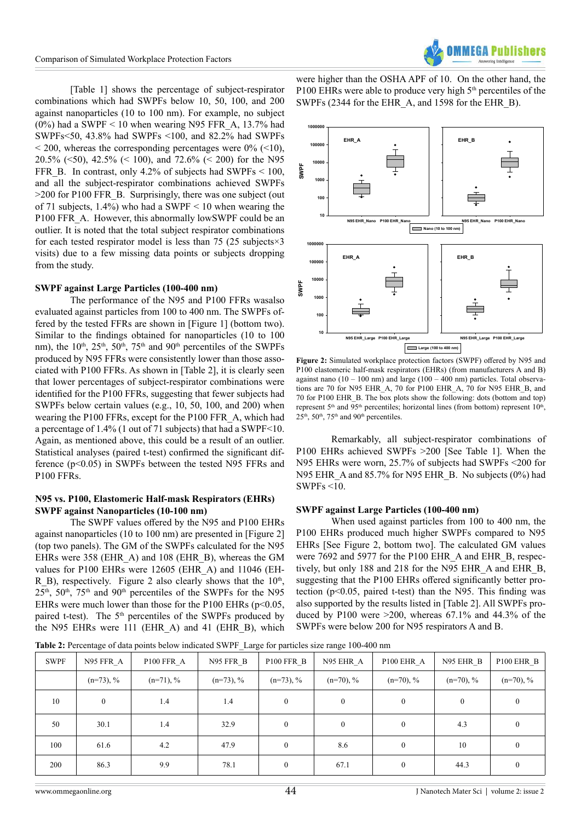[Table 1] shows the percentage of subject-respirator combinations which had SWPFs below 10, 50, 100, and 200 against nanoparticles (10 to 100 nm). For example, no subject  $(0\%)$  had a SWPF < 10 when wearing N95 FFR A, 13.7% had SWPFs<50, 43.8% had SWPFs <100, and 82.2% had SWPFs  $\leq$  200, whereas the corresponding percentages were 0% ( $\leq$ 10), 20.5% (<50), 42.5% (< 100), and 72.6% (< 200) for the N95 FFR B. In contrast, only 4.2% of subjects had SWPFs  $\leq 100$ , and all the subject-respirator combinations achieved SWPFs >200 for P100 FFR\_B. Surprisingly, there was one subject (out of 71 subjects, 1.4%) who had a SWPF < 10 when wearing the P100 FFR\_A. However, this abnormally lowSWPF could be an outlier. It is noted that the total subject respirator combinations for each tested respirator model is less than 75 (25 subjects $\times$ 3 visits) due to a few missing data points or subjects dropping from the study.

# **SWPF against Large Particles (100-400 nm)**

The performance of the N95 and P100 FFRs wasalso evaluated against particles from 100 to 400 nm. The SWPFs offered by the tested FFRs are shown in [Figure 1] (bottom two). Similar to the findings obtained for nanoparticles (10 to 100 nm), the  $10^{th}$ ,  $25^{th}$ ,  $50^{th}$ ,  $75^{th}$  and  $90^{th}$  percentiles of the SWPFs produced by N95 FFRs were consistently lower than those associated with P100 FFRs. As shown in [Table 2], it is clearly seen that lower percentages of subject-respirator combinations were identified for the P100 FFRs, suggesting that fewer subjects had SWPFs below certain values (e.g., 10, 50, 100, and 200) when wearing the P100 FFRs, except for the P100 FFR\_A, which had a percentage of 1.4% (1 out of 71 subjects) that had a SWPF<10. Again, as mentioned above, this could be a result of an outlier. Statistical analyses (paired t-test) confirmed the significant difference (p<0.05) in SWPFs between the tested N95 FFRs and P100 FFRs.

# **N95 vs. P100, Elastomeric Half-mask Respirators (EHRs) SWPF against Nanoparticles (10-100 nm)**

The SWPF values offered by the N95 and P100 EHRs against nanoparticles (10 to 100 nm) are presented in [Figure 2] (top two panels). The GM of the SWPFs calculated for the N95 EHRs were 358 (EHR\_A) and 108 (EHR\_B), whereas the GM values for P100 EHRs were 12605 (EHR\_A) and 11046 (EH-R\_B), respectively. Figure 2 also clearly shows that the  $10<sup>th</sup>$ , 25<sup>th</sup>, 50<sup>th</sup>, 75<sup>th</sup> and 90<sup>th</sup> percentiles of the SWPFs for the N95 EHRs were much lower than those for the P100 EHRs  $(p<0.05$ , paired t-test). The  $5<sup>th</sup>$  percentiles of the SWPFs produced by the N95 EHRs were 111 (EHR\_A) and 41 (EHR\_B), which

were higher than the OSHA APF of 10. On the other hand, the P100 EHRs were able to produce very high 5<sup>th</sup> percentiles of the SWPFs (2344 for the EHR\_A, and 1598 for the EHR\_B).

**EHR\_A**

**10000 100000 1000000**



**Figure 2:** Simulated workplace protection factors (SWPF) offered by N95 and P100 elastomeric half-mask respirators (EHRs) (from manufacturers A and B) against nano  $(10 - 100 \text{ nm})$  and large  $(100 - 400 \text{ nm})$  particles. Total observations are 70 for N95 EHR\_A, 70 for P100 EHR\_A, 70 for N95 EHR\_B, and 70 for P100 EHR\_B. The box plots show the following: dots (bottom and top) represent  $5<sup>th</sup>$  and  $95<sup>th</sup>$  percentiles; horizontal lines (from bottom) represent  $10<sup>th</sup>$ ,  $25<sup>th</sup>$ ,  $50<sup>th</sup>$ ,  $75<sup>th</sup>$  and  $90<sup>th</sup>$  percentiles.

Remarkably, all subject-respirator combinations of P100 EHRs achieved SWPFs >200 [See Table 1]. When the N95 EHRs were worn, 25.7% of subjects had SWPFs <200 for N95 EHR A and 85.7% for N95 EHR B. No subjects (0%) had SWPFs <10.

#### **SWPF against Large Particles (100-400 nm)**

When used against particles from 100 to 400 nm, the P100 EHRs produced much higher SWPFs compared to N95 EHRs [See Figure 2, bottom two]. The calculated GM values were 7692 and 5977 for the P100 EHR A and EHR B, respectively, but only 188 and 218 for the N95 EHR\_A and EHR\_B, suggesting that the P100 EHRs offered significantly better protection (p<0.05, paired t-test) than the N95. This finding was also supported by the results listed in [Table 2]. All SWPFs produced by P100 were  $>200$ , whereas 67.1% and 44.3% of the SWPFs were below 200 for N95 respirators A and B.

**Table 2:** Percentage of data points below indicated SWPF\_Large for particles size range 100-400 nm

| <b>SWPF</b> | N95 FFR A    | P100 FFR A   | N95 FFR B    | P100 FFR B     | N95 EHR A        | P100 EHR A       | N95 EHR B   | P100 EHR B  |
|-------------|--------------|--------------|--------------|----------------|------------------|------------------|-------------|-------------|
|             | $(n=73)$ , % | $(n=71)$ , % | $(n=73)$ , % | $(n=73)$ , %   | $(n=70), %$      | $(n=70), %$      | $(n=70), %$ | $(n=70), %$ |
| 10          | $\mathbf{0}$ | 1.4          | 1.4          | $\theta$       | $\theta$         | $\boldsymbol{0}$ | $\theta$    | $\theta$    |
| 50          | 30.1         | 1.4          | 32.9         | $\theta$       | $\boldsymbol{0}$ | $\boldsymbol{0}$ | 4.3         |             |
| 100         | 61.6         | 4.2          | 47.9         | $\overline{0}$ | 8.6              | $\boldsymbol{0}$ | 10          | $\theta$    |
| 200         | 86.3         | 9.9          | 78.1         | $\overline{0}$ | 67.1             | $\boldsymbol{0}$ | 44.3        |             |

**EHR\_B**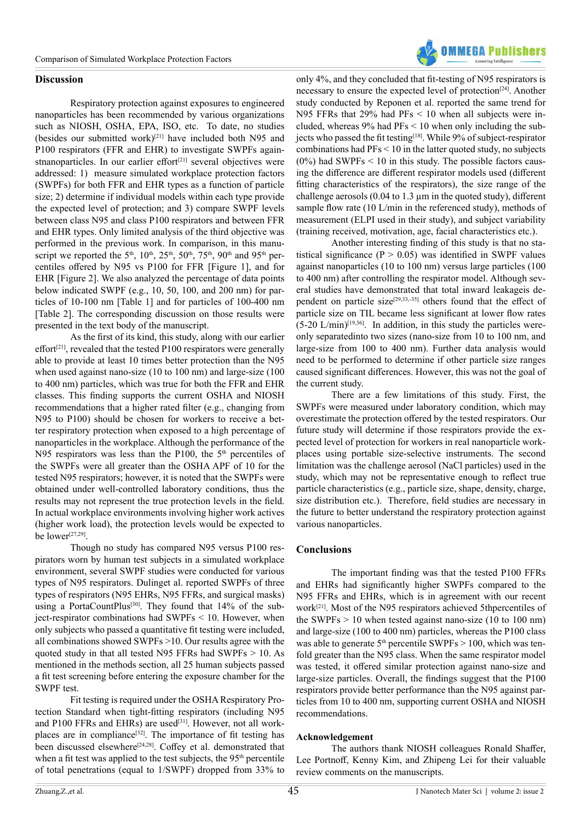

# **Discussion**

Respiratory protection against exposures to engineered nanoparticles has been recommended by various organizations such as NIOSH, OSHA, EPA, ISO, etc. To date, no studies (besides our submitted work[\)\[21\]](#page-5-15) have included both N95 and P100 respirators (FFR and EHR) to investigate SWPFs againstnanoparticles. In our earlier effort<sup> $[21]$ </sup> several objectives were addressed: 1) measure simulated workplace protection factors (SWPFs) for both FFR and EHR types as a function of particle size; 2) determine if individual models within each type provide the expected level of protection; and 3) compare SWPF levels between class N95 and class P100 respirators and between FFR and EHR types. Only limited analysis of the third objective was performed in the previous work. In comparison, in this manuscript we reported the 5<sup>th</sup>, 10<sup>th</sup>, 25<sup>th</sup>, 50<sup>th</sup>, 75<sup>th</sup>, 90<sup>th</sup> and 95<sup>th</sup> percentiles offered by N95 vs P100 for FFR [Figure 1], and for EHR [Figure 2]. We also analyzed the percentage of data points below indicated SWPF (e.g., 10, 50, 100, and 200 nm) for particles of 10-100 nm [Table 1] and for particles of 100-400 nm [Table 2]. The corresponding discussion on those results were presented in the text body of the manuscript.

As the first of its kind, this study, along with our earlier effort<sup>[\[21\]](#page-5-15)</sup>, revealed that the tested P100 respirators were generally able to provide at least 10 times better protection than the N95 when used against nano-size (10 to 100 nm) and large-size (100 to 400 nm) particles, which was true for both the FFR and EHR classes. This finding supports the current OSHA and NIOSH recommendations that a higher rated filter (e.g., changing from N95 to P100) should be chosen for workers to receive a better respiratory protection when exposed to a high percentage of nanoparticles in the workplace. Although the performance of the N95 respirators was less than the P100, the  $5<sup>th</sup>$  percentiles of the SWPFs were all greater than the OSHA APF of 10 for the tested N95 respirators; however, it is noted that the SWPFs were obtained under well-controlled laboratory conditions, thus the results may not represent the true protection levels in the field. In actual workplace environments involving higher work actives (higher work load), the protection levels would be expected to be lower[\[27,29\].](#page-5-18)

Though no study has compared N95 versus P100 respirators worn by human test subjects in a simulated workplace environment, several SWPF studies were conducted for various types of N95 respirators. Dulinget al. reported SWPFs of three types of respirators (N95 EHRs, N95 FFRs, and surgical masks) using a PortaCountPlus<sup>[\[30\]](#page-5-20)</sup>. They found that 14% of the subject-respirator combinations had SWPFs < 10. However, when only subjects who passed a quantitative fit testing were included, all combinations showed SWPFs >10. Our results agree with the quoted study in that all tested N95 FFRs had SWPFs > 10. As mentioned in the methods section, all 25 human subjects passed a fit test screening before entering the exposure chamber for the SWPF test.

Fit testing is required under the OSHA Respiratory Protection Standard when tight-fitting respirators (including N95 and P100 FFRs and EHRs) are used<sup>[31]</sup>. However, not all workplaces are in compliance<sup>[32]</sup>. The importance of fit testing has been discussed elsewhere<sup>[24,28]</sup>. Coffey et al. demonstrated that when a fit test was applied to the test subjects, the 95<sup>th</sup> percentile of total penetrations (equal to 1/SWPF) dropped from 33% to

only 4%, and they concluded that fit-testing of N95 respirators is necessary to ensure the expected level of protection<sup>[\[24\]](#page-5-23)</sup>. Another study conducted by Reponen et al. reported the same trend for N95 FFRs that 29% had  $PFs < 10$  when all subjects were included, whereas 9% had PFs < 10 when only including the subjects who passed the fit testing<sup>[18]</sup>. While 9% of subject-respirator combinations had  $PFs < 10$  in the latter quoted study, no subjects  $(0\%)$  had SWPFs  $\leq 10$  in this study. The possible factors causing the difference are different respirator models used (different fitting characteristics of the respirators), the size range of the challenge aerosols (0.04 to 1.3 µm in the quoted study), different sample flow rate (10 L/min in the referenced study), methods of measurement (ELPI used in their study), and subject variability (training received, motivation, age, facial characteristics etc.).

Another interesting finding of this study is that no statistical significance ( $P > 0.05$ ) was identified in SWPF values against nanoparticles (10 to 100 nm) versus large particles (100 to 400 nm) after controlling the respirator model. Although several studies have demonstrated that total inward leakageis de-pendent on particle size<sup>[\[29,33,-35\]](#page-5-25)</sup> others found that the effect of particle size on TIL became less significant at lower flow rates  $(5-20 \text{ L/min})^{[19,36]}$ . In addition, in this study the particles wereonly separatedinto two sizes (nano-size from 10 to 100 nm, and large-size from 100 to 400 nm). Further data analysis would need to be performed to determine if other particle size ranges caused significant differences. However, this was not the goal of the current study.

There are a few limitations of this study. First, the SWPFs were measured under laboratory condition, which may overestimate the protection offered by the tested respirators. Our future study will determine if those respirators provide the expected level of protection for workers in real nanoparticle workplaces using portable size-selective instruments. The second limitation was the challenge aerosol (NaCl particles) used in the study, which may not be representative enough to reflect true particle characteristics (e.g., particle size, shape, density, charge, size distribution etc.). Therefore, field studies are necessary in the future to better understand the respiratory protection against various nanoparticles.

# **Conclusions**

The important finding was that the tested P100 FFRs and EHRs had significantly higher SWPFs compared to the N95 FFRs and EHRs, which is in agreement with our recent wor[k\[21\].](#page-5-15) Most of the N95 respirators achieved 5thpercentiles of the SWPFs  $> 10$  when tested against nano-size (10 to 100 nm) and large-size (100 to 400 nm) particles, whereas the P100 class was able to generate  $5<sup>th</sup>$  percentile SWPFs  $> 100$ , which was tenfold greater than the N95 class. When the same respirator model was tested, it offered similar protection against nano-size and large-size particles. Overall, the findings suggest that the P100 respirators provide better performance than the N95 against particles from 10 to 400 nm, supporting current OSHA and NIOSH recommendations.

# **Acknowledgement**

The authors thank NIOSH colleagues Ronald Shaffer, Lee Portnoff, Kenny Kim, and Zhipeng Lei for their valuable review comments on the manuscripts.